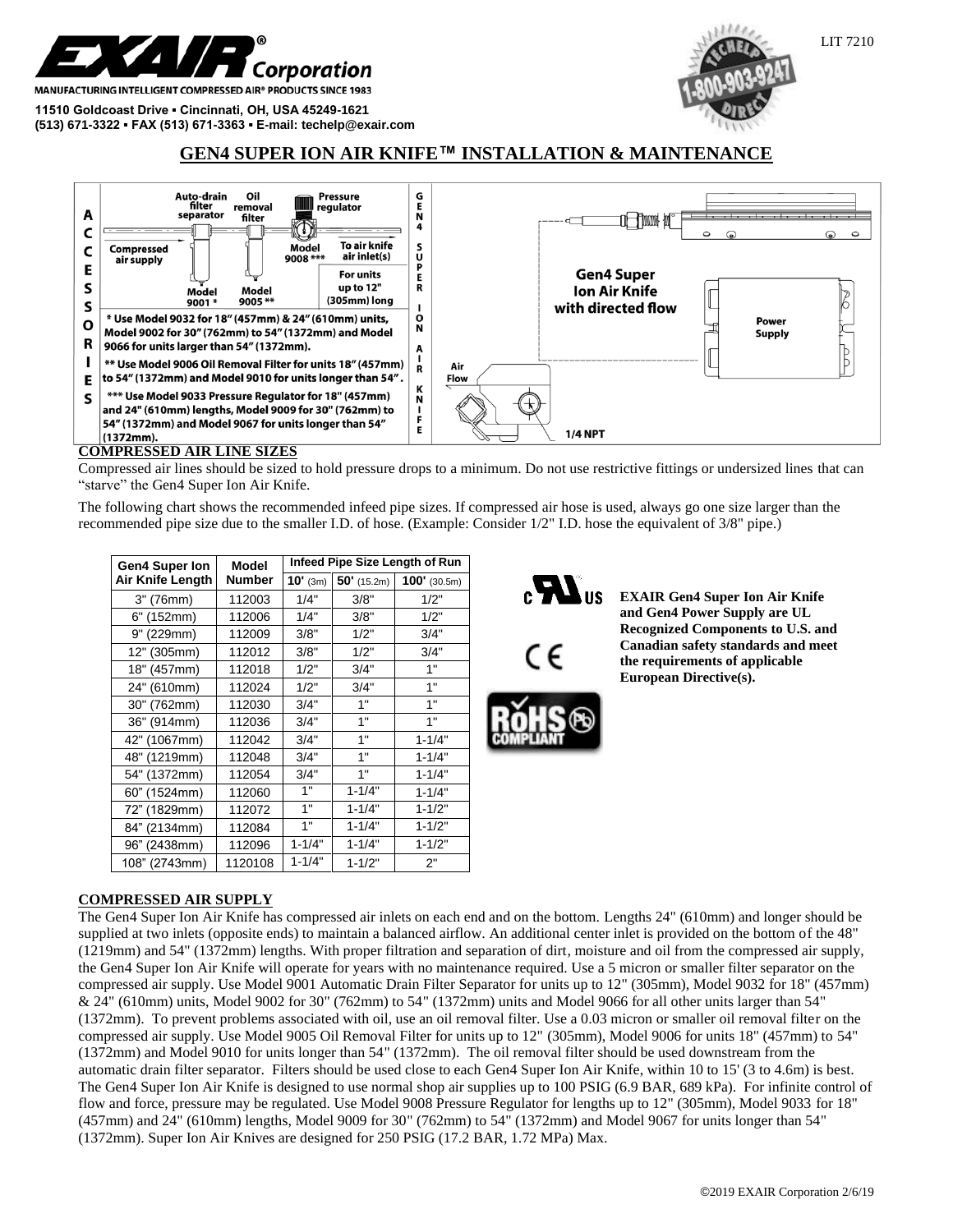

**MANUFACTURING INTELLIGENT COMPRESSED AIR® PRODUCTS SINCE 1983** 

**11510 Goldcoast Drive ▪ Cincinnati, OH, USA 45249-1621 (513) 671-3322 ▪ FAX (513) 671-3363 ▪ E-mail: techelp@exair.com**



# **GEN4 SUPER ION AIR KNIFE™ INSTALLATION & MAIN**



#### **COMPRESSED AIR LINE SIZES**

Compressed air lines should be sized to hold pressure drops to a minimum. Do not use restrictive fittings or undersized lines that can "starve" the Gen4 Super Ion Air Knife.

The following chart shows the recommended infeed pipe sizes. If compressed air hose is used, always go one size larger than the recommended pipe size due to the smaller I.D. of hose. (Example: Consider 1/2" I.D. hose the equivalent of 3/8" pipe.)

| <b>Gen4 Super lon</b> | Model         | Infeed Pipe Size Length of Run |               |                |
|-----------------------|---------------|--------------------------------|---------------|----------------|
| Air Knife Length      | <b>Number</b> | $10'$ (3m)                     | $50'$ (15.2m) | $100'$ (30.5m) |
| 3" (76mm)             | 112003        | 1/4"                           | 3/8"          | 1/2"           |
| 6" (152mm)            | 112006        | 1/4"                           | 3/8"          | 1/2"           |
| 9" (229mm)            | 112009        | 3/8"                           | 1/2"          | 3/4"           |
| 12" (305mm)           | 112012        | 3/8"                           | 1/2"          | 3/4"           |
| 18" (457mm)           | 112018        | 1/2"                           | 3/4"          | 1"             |
| 24" (610mm)           | 112024        | 1/2"                           | 3/4"          | 1"             |
| 30" (762mm)           | 112030        | 3/4"                           | 1"            | 1"             |
| 36" (914mm)           | 112036        | 3/4"                           | 1"            | 1"             |
| 42" (1067mm)          | 112042        | 3/4"                           | 1"            | $1 - 1/4"$     |
| 48" (1219mm)          | 112048        | 3/4"                           | 1"            | $1 - 1/4"$     |
| 54" (1372mm)          | 112054        | 3/4"                           | 1"            | $1 - 1/4"$     |
| 60" (1524mm)          | 112060        | 1"                             | $1 - 1/4"$    | $1 - 1/4"$     |
| 72" (1829mm)          | 112072        | 1"                             | $1 - 1/4"$    | $1 - 1/2"$     |
| 84" (2134mm)          | 112084        | 1"                             | $1 - 1/4"$    | $1 - 1/2"$     |
| 96" (2438mm)          | 112096        | $1 - 1/4"$                     | $1 - 1/4"$    | $1 - 1/2"$     |
| 108" (2743mm)         | 1120108       | $1 - 1/4"$                     | $1 - 1/2"$    | 2"             |



**EXAIR Gen4 Super Ion Air Knife and Gen4 Power Supply are UL Recognized Components to U.S. and Canadian safety standards and meet the requirements of applicable European Directive(s).**

# **COMPRESSED AIR SUPPLY**

The Gen4 Super Ion Air Knife has compressed air inlets on each end and on the bottom. Lengths 24" (610mm) and longer should be supplied at two inlets (opposite ends) to maintain a balanced airflow. An additional center inlet is provided on the bottom of the 48" (1219mm) and 54" (1372mm) lengths. With proper filtration and separation of dirt, moisture and oil from the compressed air supply, the Gen4 Super Ion Air Knife will operate for years with no maintenance required. Use a 5 micron or smaller filter separator on the compressed air supply. Use Model 9001 Automatic Drain Filter Separator for units up to 12" (305mm), Model 9032 for 18" (457mm) & 24" (610mm) units, Model 9002 for 30" (762mm) to 54" (1372mm) units and Model 9066 for all other units larger than 54" (1372mm). To prevent problems associated with oil, use an oil removal filter. Use a 0.03 micron or smaller oil removal filter on the compressed air supply. Use Model 9005 Oil Removal Filter for units up to 12" (305mm), Model 9006 for units 18" (457mm) to 54" (1372mm) and Model 9010 for units longer than 54" (1372mm). The oil removal filter should be used downstream from the automatic drain filter separator. Filters should be used close to each Gen4 Super Ion Air Knife, within 10 to 15' (3 to 4.6m) is best. The Gen4 Super Ion Air Knife is designed to use normal shop air supplies up to 100 PSIG (6.9 BAR, 689 kPa). For infinite control of flow and force, pressure may be regulated. Use Model 9008 Pressure Regulator for lengths up to 12" (305mm), Model 9033 for 18" (457mm) and 24" (610mm) lengths, Model 9009 for 30" (762mm) to 54" (1372mm) and Model 9067 for units longer than 54" (1372mm). Super Ion Air Knives are designed for 250 PSIG (17.2 BAR, 1.72 MPa) Max.